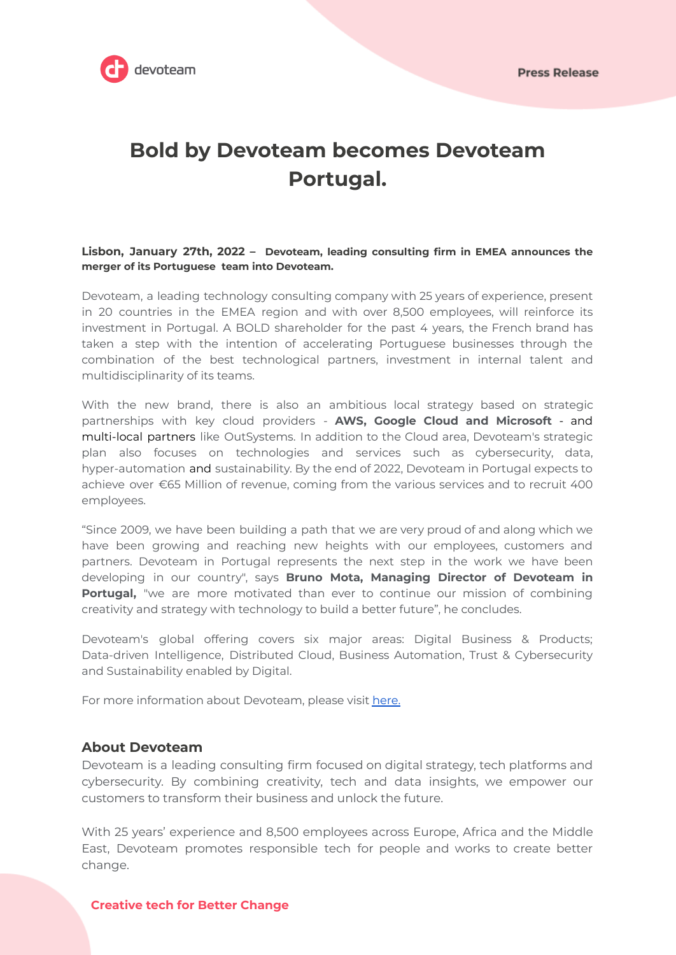

**Press Release** 

# **Bold by Devoteam becomes Devoteam Portugal.**

## **Lisbon, January 27th, 2022 – Devoteam, leading consulting firm in EMEA announces the merger of its Portuguese team into Devoteam.**

Devoteam, a leading technology consulting company with 25 years of experience, present in 20 countries in the EMEA region and with over 8,500 employees, will reinforce its investment in Portugal. A BOLD shareholder for the past 4 years, the French brand has taken a step with the intention of accelerating Portuguese businesses through the combination of the best technological partners, investment in internal talent and multidisciplinarity of its teams.

With the new brand, there is also an ambitious local strategy based on strategic partnerships with key cloud providers - **AWS, Google Cloud and Microsoft** - and multi-local partners like OutSystems. In addition to the Cloud area, Devoteam's strategic plan also focuses on technologies and services such as cybersecurity, data, hyper-automation and sustainability. By the end of 2022, Devoteam in Portugal expects to achieve over €65 Million of revenue, coming from the various services and to recruit 400 employees.

"Since 2009, we have been building a path that we are very proud of and along which we have been growing and reaching new heights with our employees, customers and partners. Devoteam in Portugal represents the next step in the work we have been developing in our country", says **Bruno Mota, Managing Director of Devoteam in Portugal,** "we are more motivated than ever to continue our mission of combining creativity and strategy with technology to build a better future", he concludes.

Devoteam's global offering covers six major areas: Digital Business & Products; Data-driven Intelligence, Distributed Cloud, Business Automation, Trust & Cybersecurity and Sustainability enabled by Digital.

For more information about Devoteam, please visit [here.](https://www.devoteam.com/pt-pt)

# **About Devoteam**

Devoteam is a leading consulting firm focused on digital strategy, tech platforms and cybersecurity. By combining creativity, tech and data insights, we empower our customers to transform their business and unlock the future.

With 25 years' experience and 8,500 employees across Europe, Africa and the Middle East, Devoteam promotes responsible tech for people and works to create better change.

## **Creative tech for Better Change**